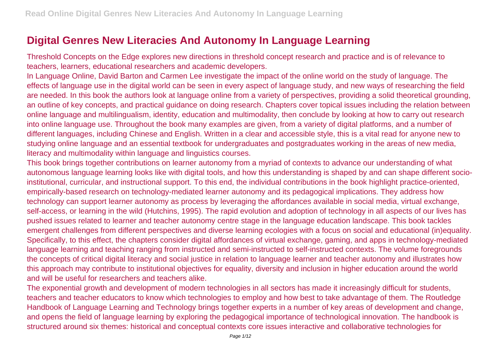## **Digital Genres New Literacies And Autonomy In Language Learning**

Threshold Concepts on the Edge explores new directions in threshold concept research and practice and is of relevance to teachers, learners, educational researchers and academic developers.

In Language Online, David Barton and Carmen Lee investigate the impact of the online world on the study of language. The effects of language use in the digital world can be seen in every aspect of language study, and new ways of researching the field are needed. In this book the authors look at language online from a variety of perspectives, providing a solid theoretical grounding, an outline of key concepts, and practical guidance on doing research. Chapters cover topical issues including the relation between online language and multilingualism, identity, education and multimodality, then conclude by looking at how to carry out research into online language use. Throughout the book many examples are given, from a variety of digital platforms, and a number of different languages, including Chinese and English. Written in a clear and accessible style, this is a vital read for anyone new to studying online language and an essential textbook for undergraduates and postgraduates working in the areas of new media, literacy and multimodality within language and linguistics courses.

This book brings together contributions on learner autonomy from a myriad of contexts to advance our understanding of what autonomous language learning looks like with digital tools, and how this understanding is shaped by and can shape different socioinstitutional, curricular, and instructional support. To this end, the individual contributions in the book highlight practice-oriented, empirically-based research on technology-mediated learner autonomy and its pedagogical implications. They address how technology can support learner autonomy as process by leveraging the affordances available in social media, virtual exchange, self-access, or learning in the wild (Hutchins, 1995). The rapid evolution and adoption of technology in all aspects of our lives has pushed issues related to learner and teacher autonomy centre stage in the language education landscape. This book tackles emergent challenges from different perspectives and diverse learning ecologies with a focus on social and educational (in)equality. Specifically, to this effect, the chapters consider digital affordances of virtual exchange, gaming, and apps in technology-mediated language learning and teaching ranging from instructed and semi-instructed to self-instructed contexts. The volume foregrounds the concepts of critical digital literacy and social justice in relation to language learner and teacher autonomy and illustrates how this approach may contribute to institutional objectives for equality, diversity and inclusion in higher education around the world and will be useful for researchers and teachers alike.

The exponential growth and development of modern technologies in all sectors has made it increasingly difficult for students, teachers and teacher educators to know which technologies to employ and how best to take advantage of them. The Routledge Handbook of Language Learning and Technology brings together experts in a number of key areas of development and change, and opens the field of language learning by exploring the pedagogical importance of technological innovation. The handbook is structured around six themes: historical and conceptual contexts core issues interactive and collaborative technologies for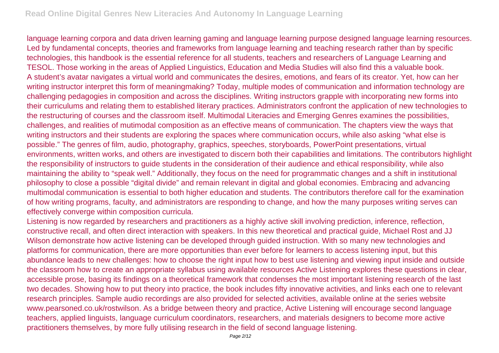language learning corpora and data driven learning gaming and language learning purpose designed language learning resources. Led by fundamental concepts, theories and frameworks from language learning and teaching research rather than by specific technologies, this handbook is the essential reference for all students, teachers and researchers of Language Learning and TESOL. Those working in the areas of Applied Linguistics, Education and Media Studies will also find this a valuable book. A student's avatar navigates a virtual world and communicates the desires, emotions, and fears of its creator. Yet, how can her writing instructor interpret this form of meaningmaking? Today, multiple modes of communication and information technology are challenging pedagogies in composition and across the disciplines. Writing instructors grapple with incorporating new forms into their curriculums and relating them to established literary practices. Administrators confront the application of new technologies to the restructuring of courses and the classroom itself. Multimodal Literacies and Emerging Genres examines the possibilities, challenges, and realities of mutimodal composition as an effective means of communication. The chapters view the ways that writing instructors and their students are exploring the spaces where communication occurs, while also asking "what else is possible." The genres of film, audio, photography, graphics, speeches, storyboards, PowerPoint presentations, virtual environments, written works, and others are investigated to discern both their capabilities and limitations. The contributors highlight the responsibility of instructors to guide students in the consideration of their audience and ethical responsibility, while also maintaining the ability to "speak well." Additionally, they focus on the need for programmatic changes and a shift in institutional philosophy to close a possible "digital divide" and remain relevant in digital and global economies. Embracing and advancing multimodal communication is essential to both higher education and students. The contributors therefore call for the examination of how writing programs, faculty, and administrators are responding to change, and how the many purposes writing serves can effectively converge within composition curricula.

Listening is now regarded by researchers and practitioners as a highly active skill involving prediction, inference, reflection, constructive recall, and often direct interaction with speakers. In this new theoretical and practical guide, Michael Rost and JJ Wilson demonstrate how active listening can be developed through guided instruction. With so many new technologies and platforms for communication, there are more opportunities than ever before for learners to access listening input, but this abundance leads to new challenges: how to choose the right input how to best use listening and viewing input inside and outside the classroom how to create an appropriate syllabus using available resources Active Listening explores these questions in clear, accessible prose, basing its findings on a theoretical framework that condenses the most important listening research of the last two decades. Showing how to put theory into practice, the book includes fifty innovative activities, and links each one to relevant research principles. Sample audio recordings are also provided for selected activities, available online at the series website www.pearsoned.co.uk/rostwilson. As a bridge between theory and practice, Active Listening will encourage second language teachers, applied linguists, language curriculum coordinators, researchers, and materials designers to become more active practitioners themselves, by more fully utilising research in the field of second language listening.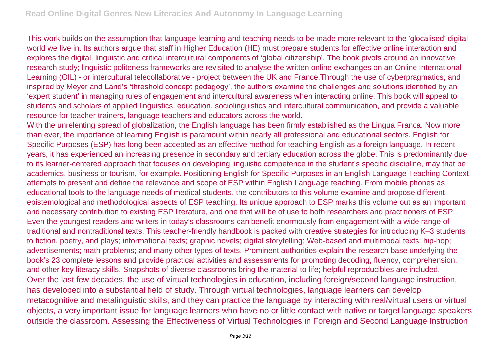This work builds on the assumption that language learning and teaching needs to be made more relevant to the 'glocalised' digital world we live in. Its authors argue that staff in Higher Education (HE) must prepare students for effective online interaction and explores the digital, linguistic and critical intercultural components of 'global citizenship'. The book pivots around an innovative research study; linguistic politeness frameworks are revisited to analyse the written online exchanges on an Online International Learning (OIL) - or intercultural telecollaborative - project between the UK and France.Through the use of cyberpragmatics, and inspired by Meyer and Land's 'threshold concept pedagogy', the authors examine the challenges and solutions identified by an 'expert student' in managing rules of engagement and intercultural awareness when interacting online. This book will appeal to students and scholars of applied linguistics, education, sociolinguistics and intercultural communication, and provide a valuable resource for teacher trainers, language teachers and educators across the world.

With the unrelenting spread of globalization, the English language has been firmly established as the Lingua Franca. Now more than ever, the importance of learning English is paramount within nearly all professional and educational sectors. English for Specific Purposes (ESP) has long been accepted as an effective method for teaching English as a foreign language. In recent years, it has experienced an increasing presence in secondary and tertiary education across the globe. This is predominantly due to its learner-centered approach that focuses on developing linguistic competence in the student's specific discipline, may that be academics, business or tourism, for example. Positioning English for Specific Purposes in an English Language Teaching Context attempts to present and define the relevance and scope of ESP within English Language teaching. From mobile phones as educational tools to the language needs of medical students, the contributors to this volume examine and propose different epistemological and methodological aspects of ESP teaching. Its unique approach to ESP marks this volume out as an important and necessary contribution to existing ESP literature, and one that will be of use to both researchers and practitioners of ESP. Even the youngest readers and writers in today's classrooms can benefit enormously from engagement with a wide range of traditional and nontraditional texts. This teacher-friendly handbook is packed with creative strategies for introducing K–3 students to fiction, poetry, and plays; informational texts; graphic novels; digital storytelling; Web-based and multimodal texts; hip-hop; advertisements; math problems; and many other types of texts. Prominent authorities explain the research base underlying the book's 23 complete lessons and provide practical activities and assessments for promoting decoding, fluency, comprehension, and other key literacy skills. Snapshots of diverse classrooms bring the material to life; helpful reproducibles are included. Over the last few decades, the use of virtual technologies in education, including foreign/second language instruction, has developed into a substantial field of study. Through virtual technologies, language learners can develop metacognitive and metalinguistic skills, and they can practice the language by interacting with real/virtual users or virtual objects, a very important issue for language learners who have no or little contact with native or target language speakers outside the classroom. Assessing the Effectiveness of Virtual Technologies in Foreign and Second Language Instruction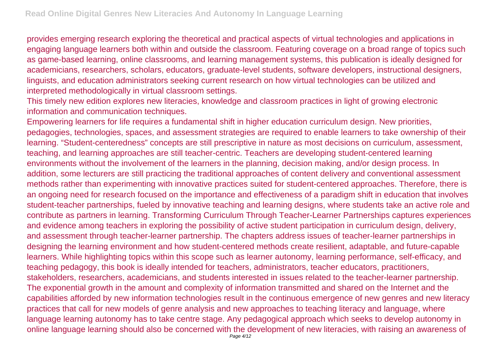provides emerging research exploring the theoretical and practical aspects of virtual technologies and applications in engaging language learners both within and outside the classroom. Featuring coverage on a broad range of topics such as game-based learning, online classrooms, and learning management systems, this publication is ideally designed for academicians, researchers, scholars, educators, graduate-level students, software developers, instructional designers, linguists, and education administrators seeking current research on how virtual technologies can be utilized and interpreted methodologically in virtual classroom settings.

This timely new edition explores new literacies, knowledge and classroom practices in light of growing electronic information and communication techniques.

Empowering learners for life requires a fundamental shift in higher education curriculum design. New priorities, pedagogies, technologies, spaces, and assessment strategies are required to enable learners to take ownership of their learning. "Student-centeredness" concepts are still prescriptive in nature as most decisions on curriculum, assessment, teaching, and learning approaches are still teacher-centric. Teachers are developing student-centered learning environments without the involvement of the learners in the planning, decision making, and/or design process. In addition, some lecturers are still practicing the traditional approaches of content delivery and conventional assessment methods rather than experimenting with innovative practices suited for student-centered approaches. Therefore, there is an ongoing need for research focused on the importance and effectiveness of a paradigm shift in education that involves student-teacher partnerships, fueled by innovative teaching and learning designs, where students take an active role and contribute as partners in learning. Transforming Curriculum Through Teacher-Learner Partnerships captures experiences and evidence among teachers in exploring the possibility of active student participation in curriculum design, delivery, and assessment through teacher-learner partnership. The chapters address issues of teacher-learner partnerships in designing the learning environment and how student-centered methods create resilient, adaptable, and future-capable learners. While highlighting topics within this scope such as learner autonomy, learning performance, self-efficacy, and teaching pedagogy, this book is ideally intended for teachers, administrators, teacher educators, practitioners, stakeholders, researchers, academicians, and students interested in issues related to the teacher-learner partnership. The exponential growth in the amount and complexity of information transmitted and shared on the Internet and the capabilities afforded by new information technologies result in the continuous emergence of new genres and new literacy practices that call for new models of genre analysis and new approaches to teaching literacy and language, where language learning autonomy has to take centre stage. Any pedagogical approach which seeks to develop autonomy in online language learning should also be concerned with the development of new literacies, with raising an awareness of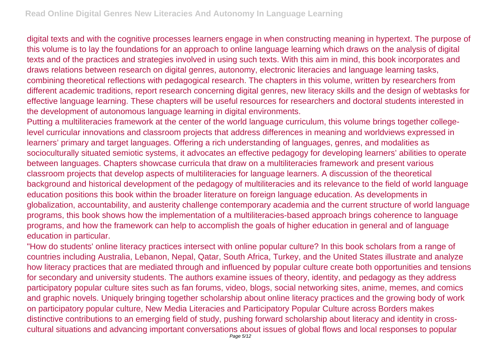digital texts and with the cognitive processes learners engage in when constructing meaning in hypertext. The purpose of this volume is to lay the foundations for an approach to online language learning which draws on the analysis of digital texts and of the practices and strategies involved in using such texts. With this aim in mind, this book incorporates and draws relations between research on digital genres, autonomy, electronic literacies and language learning tasks, combining theoretical reflections with pedagogical research. The chapters in this volume, written by researchers from different academic traditions, report research concerning digital genres, new literacy skills and the design of webtasks for effective language learning. These chapters will be useful resources for researchers and doctoral students interested in the development of autonomous language learning in digital environments.

Putting a multiliteracies framework at the center of the world language curriculum, this volume brings together collegelevel curricular innovations and classroom projects that address differences in meaning and worldviews expressed in learners' primary and target languages. Offering a rich understanding of languages, genres, and modalities as socioculturally situated semiotic systems, it advocates an effective pedagogy for developing learners' abilities to operate between languages. Chapters showcase curricula that draw on a multiliteracies framework and present various classroom projects that develop aspects of multiliteracies for language learners. A discussion of the theoretical background and historical development of the pedagogy of multiliteracies and its relevance to the field of world language education positions this book within the broader literature on foreign language education. As developments in globalization, accountability, and austerity challenge contemporary academia and the current structure of world language programs, this book shows how the implementation of a multiliteracies-based approach brings coherence to language programs, and how the framework can help to accomplish the goals of higher education in general and of language education in particular.

"How do students' online literacy practices intersect with online popular culture? In this book scholars from a range of countries including Australia, Lebanon, Nepal, Qatar, South Africa, Turkey, and the United States illustrate and analyze how literacy practices that are mediated through and influenced by popular culture create both opportunities and tensions for secondary and university students. The authors examine issues of theory, identity, and pedagogy as they address participatory popular culture sites such as fan forums, video, blogs, social networking sites, anime, memes, and comics and graphic novels. Uniquely bringing together scholarship about online literacy practices and the growing body of work on participatory popular culture, New Media Literacies and Participatory Popular Culture across Borders makes distinctive contributions to an emerging field of study, pushing forward scholarship about literacy and identity in crosscultural situations and advancing important conversations about issues of global flows and local responses to popular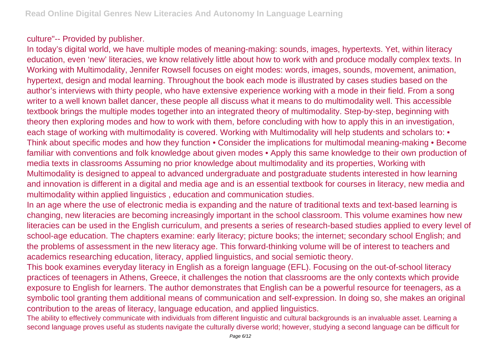## culture"-- Provided by publisher.

In today's digital world, we have multiple modes of meaning-making: sounds, images, hypertexts. Yet, within literacy education, even 'new' literacies, we know relatively little about how to work with and produce modally complex texts. In Working with Multimodality, Jennifer Rowsell focuses on eight modes: words, images, sounds, movement, animation, hypertext, design and modal learning. Throughout the book each mode is illustrated by cases studies based on the author's interviews with thirty people, who have extensive experience working with a mode in their field. From a song writer to a well known ballet dancer, these people all discuss what it means to do multimodality well. This accessible textbook brings the multiple modes together into an integrated theory of multimodality. Step-by-step, beginning with theory then exploring modes and how to work with them, before concluding with how to apply this in an investigation, each stage of working with multimodality is covered. Working with Multimodality will help students and scholars to: • Think about specific modes and how they function • Consider the implications for multimodal meaning-making • Become familiar with conventions and folk knowledge about given modes • Apply this same knowledge to their own production of media texts in classrooms Assuming no prior knowledge about multimodality and its properties, Working with Multimodality is designed to appeal to advanced undergraduate and postgraduate students interested in how learning and innovation is different in a digital and media age and is an essential textbook for courses in literacy, new media and multimodality within applied linguistics , education and communication studies.

In an age where the use of electronic media is expanding and the nature of traditional texts and text-based learning is changing, new literacies are becoming increasingly important in the school classroom. This volume examines how new literacies can be used in the English curriculum, and presents a series of research-based studies applied to every level of school-age education. The chapters examine: early literacy; picture books; the internet; secondary school English; and the problems of assessment in the new literacy age. This forward-thinking volume will be of interest to teachers and academics researching education, literacy, applied linguistics, and social semiotic theory.

This book examines everyday literacy in English as a foreign language (EFL). Focusing on the out-of-school literacy practices of teenagers in Athens, Greece, it challenges the notion that classrooms are the only contexts which provide exposure to English for learners. The author demonstrates that English can be a powerful resource for teenagers, as a symbolic tool granting them additional means of communication and self-expression. In doing so, she makes an original contribution to the areas of literacy, language education, and applied linguistics.

The ability to effectively communicate with individuals from different linguistic and cultural backgrounds is an invaluable asset. Learning a second language proves useful as students navigate the culturally diverse world; however, studying a second language can be difficult for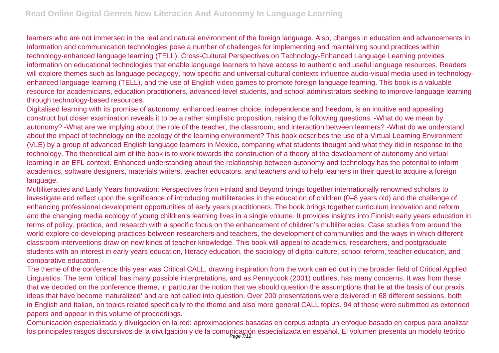learners who are not immersed in the real and natural environment of the foreign language. Also, changes in education and advancements in information and communication technologies pose a number of challenges for implementing and maintaining sound practices within technology-enhanced language learning (TELL). Cross-Cultural Perspectives on Technology-Enhanced Language Learning provides information on educational technologies that enable language learners to have access to authentic and useful language resources. Readers will explore themes such as language pedagogy, how specific and universal cultural contexts influence audio-visual media used in technologyenhanced language learning (TELL), and the use of English video games to promote foreign language learning. This book is a valuable resource for academicians, education practitioners, advanced-level students, and school administrators seeking to improve language learning through technology-based resources.

Digitalised learning with its promise of autonomy, enhanced learner choice, independence and freedom, is an intuitive and appealing construct but closer examination reveals it to be a rather simplistic proposition, raising the following questions. -What do we mean by autonomy? -What are we implying about the role of the teacher, the classroom, and interaction between learners? -What do we understand about the impact of technology on the ecology of the learning environment? This book describes the use of a Virtual Learning Environment (VLE) by a group of advanced English language learners in Mexico, comparing what students thought and what they did in response to the technology. The theoretical aim of the book is to work towards the construction of a theory of the development of autonomy and virtual learning in an EFL context. Enhanced understanding about the relationship between autonomy and technology has the potential to inform academics, software designers, materials writers, teacher educators, and teachers and to help learners in their quest to acquire a foreign language.

Multiliteracies and Early Years Innovation: Perspectives from Finland and Beyond brings together internationally renowned scholars to investigate and reflect upon the significance of introducing multiliteracies in the education of children (0–8 years old) and the challenge of enhancing professional development opportunities of early years practitioners. The book brings together curriculum innovation and reform and the changing media ecology of young children's learning lives in a single volume. It provides insights into Finnish early years education in terms of policy, practice, and research with a specific focus on the enhancement of children's multiliteracies. Case studies from around the world explore co-developing practices between researchers and teachers, the development of communities and the ways in which different classroom interventions draw on new kinds of teacher knowledge. This book will appeal to academics, researchers, and postgraduate students with an interest in early years education, literacy education, the sociology of digital culture, school reform, teacher education, and comparative education.

The theme of the conference this year was Critical CALL, drawing inspiration from the work carried out in the broader field of Critical Applied Linguistics. The term 'critical' has many possible interpretations, and as Pennycook (2001) outlines, has many concerns. It was from these that we decided on the conference theme, in particular the notion that we should question the assumptions that lie at the basis of our praxis, ideas that have become 'naturalized' and are not called into question. Over 200 presentations were delivered in 68 different sessions, both in English and Italian, on topics related specifically to the theme and also more general CALL topics. 94 of these were submitted as extended papers and appear in this volume of proceedings.

Comunicación especializada y divulgación en la red: aproximaciones basadas en corpus adopta un enfoque basado en corpus para analizar los principales rasgos discursivos de la divulgación y de la comunicación especializada en español. El volumen presenta un modelo teórico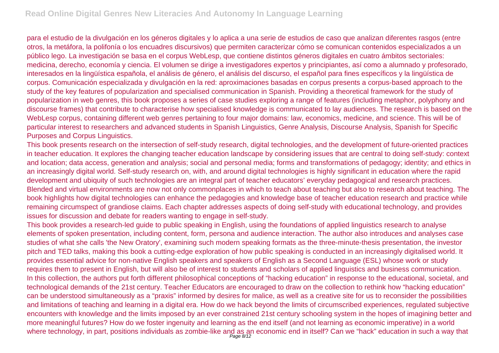para el estudio de la divulgación en los géneros digitales y lo aplica a una serie de estudios de caso que analizan diferentes rasgos (entre otros, la metáfora, la polifonía o los encuadres discursivos) que permiten caracterizar cómo se comunican contenidos especializados a un público lego. La investigación se basa en el corpus WebLesp, que contiene distintos géneros digitales en cuatro ámbitos sectoriales: medicina, derecho, economía y ciencia. El volumen se dirige a investigadores expertos y principiantes, así como a alumnado y profesorado, interesados en la lingüística española, el análisis de género, el análisis del discurso, el español para fines específicos y la lingüística de corpus. Comunicación especializada y divulgación en la red: aproximaciones basadas en corpus presents a corpus-based approach to the study of the key features of popularization and specialised communication in Spanish. Providing a theoretical framework for the study of popularization in web genres, this book proposes a series of case studies exploring a range of features (including metaphor, polyphony and discourse frames) that contribute to characterise how specialised knowledge is communicated to lay audiences. The research is based on the WebLesp corpus, containing different web genres pertaining to four major domains; law, economics, medicine, and science. This will be of particular interest to researchers and advanced students in Spanish Linguistics, Genre Analysis, Discourse Analysis, Spanish for Specific Purposes and Corpus Linguistics.

This book presents research on the intersection of self-study research, digital technologies, and the development of future-oriented practices in teacher education. It explores the changing teacher education landscape by considering issues that are central to doing self-study: context and location; data access, generation and analysis; social and personal media; forms and transformations of pedagogy; identity; and ethics in an increasingly digital world. Self-study research on, with, and around digital technologies is highly significant in education where the rapid development and ubiquity of such technologies are an integral part of teacher educators' everyday pedagogical and research practices. Blended and virtual environments are now not only commonplaces in which to teach about teaching but also to research about teaching. The book highlights how digital technologies can enhance the pedagogies and knowledge base of teacher education research and practice while remaining circumspect of grandiose claims. Each chapter addresses aspects of doing self-study with educational technology, and provides issues for discussion and debate for readers wanting to engage in self-study.

This book provides a research-led guide to public speaking in English, using the foundations of applied linguistics research to analyse elements of spoken presentation, including content, form, persona and audience interaction. The author also introduces and analyses case studies of what she calls 'the New Oratory', examining such modern speaking formats as the three-minute-thesis presentation, the investor pitch and TED talks, making this book a cutting-edge exploration of how public speaking is conducted in an increasingly digitalised world. It provides essential advice for non-native English speakers and speakers of English as a Second Language (ESL) whose work or study requires them to present in English, but will also be of interest to students and scholars of applied linguistics and business communication. In this collection, the authors put forth different philosophical conceptions of "hacking education" in response to the educational, societal, and technological demands of the 21st century. Teacher Educators are encouraged to draw on the collection to rethink how "hacking education" can be understood simultaneously as a "praxis" informed by desires for malice, as well as a creative site for us to reconsider the possibilities and limitations of teaching and learning in a digital era. How do we hack beyond the limits of circumscribed experiences, regulated subjective encounters with knowledge and the limits imposed by an ever constrained 21st century schooling system in the hopes of imagining better and more meaningful futures? How do we foster ingenuity and learning as the end itself (and not learning as economic imperative) in a world where technology, in part, positions individuals as zombie-like and as an economic end in itself? Can we "hack" education in such a way that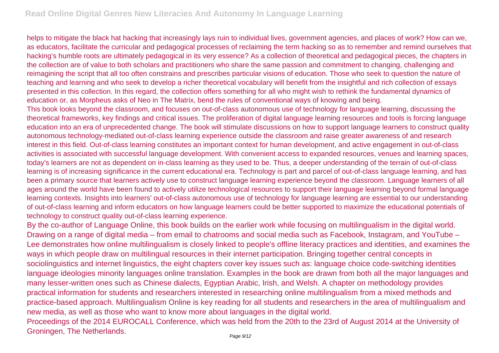helps to mitigate the black hat hacking that increasingly lays ruin to individual lives, government agencies, and places of work? How can we, as educators, facilitate the curricular and pedagogical processes of reclaiming the term hacking so as to remember and remind ourselves that hacking's humble roots are ultimately pedagogical in its very essence? As a collection of theoretical and pedagogical pieces, the chapters in the collection are of value to both scholars and practitioners who share the same passion and commitment to changing, challenging and reimagining the script that all too often constrains and prescribes particular visions of education. Those who seek to question the nature of teaching and learning and who seek to develop a richer theoretical vocabulary will benefit from the insightful and rich collection of essays presented in this collection. In this regard, the collection offers something for all who might wish to rethink the fundamental dynamics of education or, as Morpheus asks of Neo in The Matrix, bend the rules of conventional ways of knowing and being.

This book looks beyond the classroom, and focuses on out-of-class autonomous use of technology for language learning, discussing the theoretical frameworks, key findings and critical issues. The proliferation of digital language learning resources and tools is forcing language education into an era of unprecedented change. The book will stimulate discussions on how to support language learners to construct quality autonomous technology-mediated out-of-class learning experience outside the classroom and raise greater awareness of and research interest in this field. Out-of-class learning constitutes an important context for human development, and active engagement in out-of-class activities is associated with successful language development. With convenient access to expanded resources, venues and learning spaces, today's learners are not as dependent on in-class learning as they used to be. Thus, a deeper understanding of the terrain of out-of-class learning is of increasing significance in the current educational era. Technology is part and parcel of out-of-class language learning, and has been a primary source that learners actively use to construct language learning experience beyond the classroom. Language learners of all ages around the world have been found to actively utilize technological resources to support their language learning beyond formal language learning contexts. Insights into learners' out-of-class autonomous use of technology for language learning are essential to our understanding of out-of-class learning and inform educators on how language learners could be better supported to maximize the educational potentials of technology to construct quality out-of-class learning experience.

By the co-author of Language Online, this book builds on the earlier work while focusing on multilingualism in the digital world. Drawing on a range of digital media – from email to chatrooms and social media such as Facebook, Instagram, and YouTube – Lee demonstrates how online multilingualism is closely linked to people's offline literacy practices and identities, and examines the ways in which people draw on multilingual resources in their internet participation. Bringing together central concepts in sociolinguistics and internet linguistics, the eight chapters cover key issues such as: language choice code-switching identities language ideologies minority languages online translation. Examples in the book are drawn from both all the major languages and many lesser-written ones such as Chinese dialects, Egyptian Arabic, Irish, and Welsh. A chapter on methodology provides practical information for students and researchers interested in researching online multilingualism from a mixed methods and practice-based approach. Multilingualism Online is key reading for all students and researchers in the area of multilingualism and new media, as well as those who want to know more about languages in the digital world.

Proceedings of the 2014 EUROCALL Conference, which was held from the 20th to the 23rd of August 2014 at the University of Groningen, The Netherlands.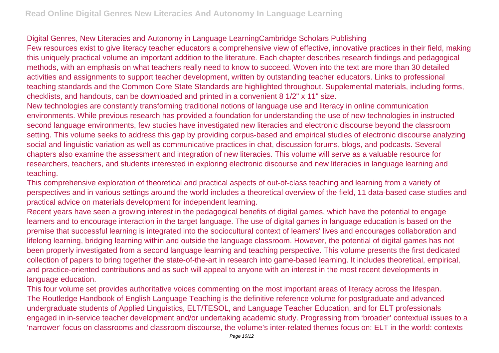## Digital Genres, New Literacies and Autonomy in Language LearningCambridge Scholars Publishing

Few resources exist to give literacy teacher educators a comprehensive view of effective, innovative practices in their field, making this uniquely practical volume an important addition to the literature. Each chapter describes research findings and pedagogical methods, with an emphasis on what teachers really need to know to succeed. Woven into the text are more than 30 detailed activities and assignments to support teacher development, written by outstanding teacher educators. Links to professional teaching standards and the Common Core State Standards are highlighted throughout. Supplemental materials, including forms, checklists, and handouts, can be downloaded and printed in a convenient 8 1/2" x 11" size.

New technologies are constantly transforming traditional notions of language use and literacy in online communication environments. While previous research has provided a foundation for understanding the use of new technologies in instructed second language environments, few studies have investigated new literacies and electronic discourse beyond the classroom setting. This volume seeks to address this gap by providing corpus-based and empirical studies of electronic discourse analyzing social and linguistic variation as well as communicative practices in chat, discussion forums, blogs, and podcasts. Several chapters also examine the assessment and integration of new literacies. This volume will serve as a valuable resource for researchers, teachers, and students interested in exploring electronic discourse and new literacies in language learning and teaching.

This comprehensive exploration of theoretical and practical aspects of out-of-class teaching and learning from a variety of perspectives and in various settings around the world includes a theoretical overview of the field, 11 data-based case studies and practical advice on materials development for independent learning.

Recent years have seen a growing interest in the pedagogical benefits of digital games, which have the potential to engage learners and to encourage interaction in the target language. The use of digital games in language education is based on the premise that successful learning is integrated into the sociocultural context of learners' lives and encourages collaboration and lifelong learning, bridging learning within and outside the language classroom. However, the potential of digital games has not been properly investigated from a second language learning and teaching perspective. This volume presents the first dedicated collection of papers to bring together the state-of-the-art in research into game-based learning. It includes theoretical, empirical, and practice-oriented contributions and as such will appeal to anyone with an interest in the most recent developments in language education.

This four volume set provides authoritative voices commenting on the most important areas of literacy across the lifespan. The Routledge Handbook of English Language Teaching is the definitive reference volume for postgraduate and advanced undergraduate students of Applied Linguistics, ELT/TESOL, and Language Teacher Education, and for ELT professionals engaged in in-service teacher development and/or undertaking academic study. Progressing from 'broader' contextual issues to a 'narrower' focus on classrooms and classroom discourse, the volume's inter-related themes focus on: ELT in the world: contexts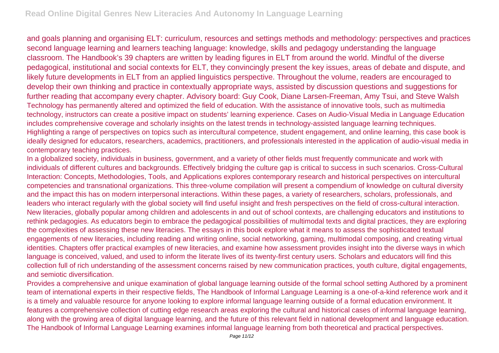and goals planning and organising ELT: curriculum, resources and settings methods and methodology: perspectives and practices second language learning and learners teaching language: knowledge, skills and pedagogy understanding the language classroom. The Handbook's 39 chapters are written by leading figures in ELT from around the world. Mindful of the diverse pedagogical, institutional and social contexts for ELT, they convincingly present the key issues, areas of debate and dispute, and likely future developments in ELT from an applied linguistics perspective. Throughout the volume, readers are encouraged to develop their own thinking and practice in contextually appropriate ways, assisted by discussion questions and suggestions for further reading that accompany every chapter. Advisory board: Guy Cook, Diane Larsen-Freeman, Amy Tsui, and Steve Walsh Technology has permanently altered and optimized the field of education. With the assistance of innovative tools, such as multimedia technology, instructors can create a positive impact on students' learning experience. Cases on Audio-Visual Media in Language Education includes comprehensive coverage and scholarly insights on the latest trends in technology-assisted language learning techniques. Highlighting a range of perspectives on topics such as intercultural competence, student engagement, and online learning, this case book is ideally designed for educators, researchers, academics, practitioners, and professionals interested in the application of audio-visual media in contemporary teaching practices.

In a globalized society, individuals in business, government, and a variety of other fields must frequently communicate and work with individuals of different cultures and backgrounds. Effectively bridging the culture gap is critical to success in such scenarios. Cross-Cultural Interaction: Concepts, Methodologies, Tools, and Applications explores contemporary research and historical perspectives on intercultural competencies and transnational organizations. This three-volume compilation will present a compendium of knowledge on cultural diversity and the impact this has on modern interpersonal interactions. Within these pages, a variety of researchers, scholars, professionals, and leaders who interact regularly with the global society will find useful insight and fresh perspectives on the field of cross-cultural interaction. New literacies, globally popular among children and adolescents in and out of school contexts, are challenging educators and institutions to rethink pedagogies. As educators begin to embrace the pedagogical possibilities of multimodal texts and digital practices, they are exploring the complexities of assessing these new literacies. The essays in this book explore what it means to assess the sophisticated textual engagements of new literacies, including reading and writing online, social networking, gaming, multimodal composing, and creating virtual identities. Chapters offer practical examples of new literacies, and examine how assessment provides insight into the diverse ways in which language is conceived, valued, and used to inform the literate lives of its twenty-first century users. Scholars and educators will find this collection full of rich understanding of the assessment concerns raised by new communication practices, youth culture, digital engagements, and semiotic diversification.

Provides a comprehensive and unique examination of global language learning outside of the formal school setting Authored by a prominent team of international experts in their respective fields, The Handbook of Informal Language Learning is a one-of-a-kind reference work and it is a timely and valuable resource for anyone looking to explore informal language learning outside of a formal education environment. It features a comprehensive collection of cutting edge research areas exploring the cultural and historical cases of informal language learning, along with the growing area of digital language learning, and the future of this relevant field in national development and language education. The Handbook of Informal Language Learning examines informal language learning from both theoretical and practical perspectives.